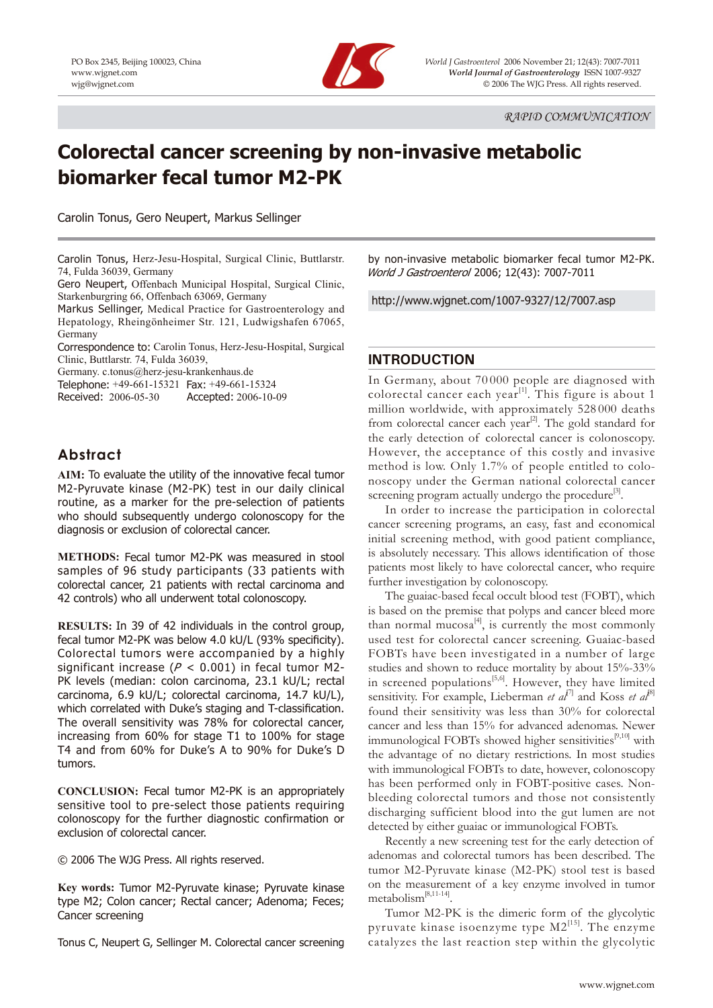

PO Box 2345, Beijing 100023, China *World J Gastroenterol* 2006 November 21; 12(43): 7007-7011 www.wjgnet.com *World Journal of Gastroenterology* ISSN 1007-9327 wjg@wjgnet.com © 2006 The WJG Press. All rights reserved.

# **Colorectal cancer screening by non-invasive metabolic biomarker fecal tumor M2-PK**

Carolin Tonus, Gero Neupert, Markus Sellinger

Carolin Tonus, Herz-Jesu-Hospital, Surgical Clinic, Buttlarstr. 74, Fulda 36039, Germany

Gero Neupert, Offenbach Municipal Hospital, Surgical Clinic, Starkenburgring 66, Offenbach 63069, Germany

Markus Sellinger, Medical Practice for Gastroenterology and Hepatology, Rheingönheimer Str. 121, Ludwigshafen 67065, Germany

Correspondence to: Carolin Tonus, Herz-Jesu-Hospital, Surgical Clinic, Buttlarstr. 74, Fulda 36039,

Germany. c.tonus@herz-jesu-krankenhaus.de

Telephone: +49-661-15321 Fax: +49-661-15324

Received: 2006-05-30 Accepted: 2006-10-09

# **Abstract**

**AIM:** To evaluate the utility of the innovative fecal tumor M2-Pyruvate kinase (M2-PK) test in our daily clinical routine, as a marker for the pre-selection of patients who should subsequently undergo colonoscopy for the diagnosis or exclusion of colorectal cancer.

**METHODS:** Fecal tumor M2-PK was measured in stool samples of 96 study participants (33 patients with colorectal cancer, 21 patients with rectal carcinoma and 42 controls) who all underwent total colonoscopy.

**RESULTS:** In 39 of 42 individuals in the control group, fecal tumor M2-PK was below 4.0 kU/L (93% specificity). Colorectal tumors were accompanied by a highly significant increase ( $P < 0.001$ ) in fecal tumor M2-PK levels (median: colon carcinoma, 23.1 kU/L; rectal carcinoma, 6.9 kU/L; colorectal carcinoma, 14.7 kU/L), which correlated with Duke's staging and T-classification. The overall sensitivity was 78% for colorectal cancer, increasing from 60% for stage T1 to 100% for stage T4 and from 60% for Duke's A to 90% for Duke's D tumors.

**CONCLUSION:** Fecal tumor M2-PK is an appropriately sensitive tool to pre-select those patients requiring colonoscopy for the further diagnostic confirmation or exclusion of colorectal cancer.

© 2006 The WJG Press. All rights reserved.

**Key words:** Tumor M2-Pyruvate kinase; Pyruvate kinase type M2; Colon cancer; Rectal cancer; Adenoma; Feces; Cancer screening

Tonus C, Neupert G, Sellinger M. Colorectal cancer screening

by non-invasive metabolic biomarker fecal tumor M2-PK. World J Gastroenterol 2006; 12(43): 7007-7011

http://www.wjgnet.com/1007-9327/12/7007.asp

## **INTRODUCTION**

In Germany, about 70 000 people are diagnosed with colorectal cancer each year<sup>[1]</sup>. This figure is about 1 million worldwide, with approximately 528 000 deaths from colorectal cancer each year<sup>[2]</sup>. The gold standard for the early detection of colorectal cancer is colonoscopy. However, the acceptance of this costly and invasive method is low. Only 1.7% of people entitled to colonoscopy under the German national colorectal cancer screening program actually undergo the procedure<sup>[3]</sup>.

In order to increase the participation in colorectal cancer screening programs, an easy, fast and economical initial screening method, with good patient compliance, is absolutely necessary. This allows identification of those patients most likely to have colorectal cancer, who require further investigation by colonoscopy.

The guaiac-based fecal occult blood test (FOBT), which is based on the premise that polyps and cancer bleed more than normal mucosa<sup>[4]</sup>, is currently the most commonly used test for colorectal cancer screening. Guaiac-based FOBTs have been investigated in a number of large studies and shown to reduce mortality by about 15%-33% in screened populations<sup>[5,6]</sup>. However, they have limited sensitivity. For example, Lieberman *et al*<sup>[7]</sup> and Koss *et al*<sup>[8]</sup> found their sensitivity was less than 30% for colorectal cancer and less than 15% for advanced adenomas. Newer immunological FOBTs showed higher sensitivities<sup>[9,10]</sup> with the advantage of no dietary restrictions. In most studies with immunological FOBTs to date, however, colonoscopy has been performed only in FOBT-positive cases. Nonbleeding colorectal tumors and those not consistently discharging sufficient blood into the gut lumen are not detected by either guaiac or immunological FOBTs.

Recently a new screening test for the early detection of adenomas and colorectal tumors has been described. The tumor M2-Pyruvate kinase (M2-PK) stool test is based on the measurement of a key enzyme involved in tumor metabolism[8,11-14].

Tumor M2-PK is the dimeric form of the glycolytic pyruvate kinase isoenzyme type  $M2^{[15]}$ . The enzyme catalyzes the last reaction step within the glycolytic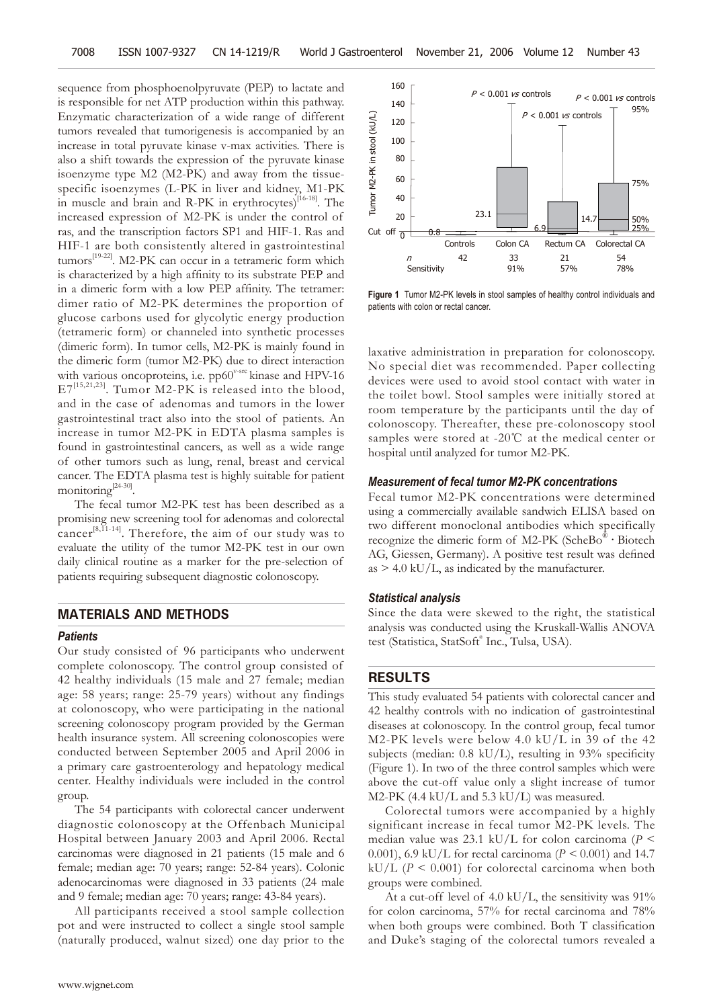sequence from phosphoenolpyruvate (PEP) to lactate and is responsible for net ATP production within this pathway. Enzymatic characterization of a wide range of different tumors revealed that tumorigenesis is accompanied by an increase in total pyruvate kinase v-max activities. There is also a shift towards the expression of the pyruvate kinase isoenzyme type M2 (M2-PK) and away from the tissuespecific isoenzymes (L-PK in liver and kidney, M1-PK in muscle and brain and R-PK in erythrocytes) $[16-18]$ . The increased expression of M2-PK is under the control of ras, and the transcription factors SP1 and HIF-1. Ras and HIF-1 are both consistently altered in gastrointestinal tumors[19-22]. M2-PK can occur in a tetrameric form which is characterized by a high affinity to its substrate PEP and in a dimeric form with a low PEP affinity. The tetramer: dimer ratio of M2-PK determines the proportion of glucose carbons used for glycolytic energy production (tetrameric form) or channeled into synthetic processes (dimeric form). In tumor cells, M2-PK is mainly found in the dimeric form (tumor M2-PK) due to direct interaction with various oncoproteins, i.e.  $pp60^{\text{v-src}}$  kinase and HPV-16  $E7^{[15,21,23]}$ . Tumor M2-PK is released into the blood, and in the case of adenomas and tumors in the lower gastrointestinal tract also into the stool of patients. An increase in tumor M2-PK in EDTA plasma samples is found in gastrointestinal cancers, as well as a wide range of other tumors such as lung, renal, breast and cervical cancer. The EDTA plasma test is highly suitable for patient monitoring<sup>[24-30]</sup>.

The fecal tumor M2-PK test has been described as a promising new screening tool for adenomas and colorectal cancer $[8,11-14]$ . Therefore, the aim of our study was to evaluate the utility of the tumor M2-PK test in our own daily clinical routine as a marker for the pre-selection of patients requiring subsequent diagnostic colonoscopy.

#### **MATERIALS AND METHODS**

#### *Patients*

Our study consisted of 96 participants who underwent complete colonoscopy. The control group consisted of 42 healthy individuals (15 male and 27 female; median age: 58 years; range: 25-79 years) without any findings at colonoscopy, who were participating in the national screening colonoscopy program provided by the German health insurance system. All screening colonoscopies were conducted between September 2005 and April 2006 in a primary care gastroenterology and hepatology medical center. Healthy individuals were included in the control group.

The 54 participants with colorectal cancer underwent diagnostic colonoscopy at the Offenbach Municipal Hospital between January 2003 and April 2006. Rectal carcinomas were diagnosed in 21 patients (15 male and 6 female; median age: 70 years; range: 52-84 years). Colonic adenocarcinomas were diagnosed in 33 patients (24 male and 9 female; median age: 70 years; range: 43-84 years).

All participants received a stool sample collection pot and were instructed to collect a single stool sample (naturally produced, walnut sized) one day prior to the



**Figure 1** Tumor M2-PK levels in stool samples of healthy control individuals and patients with colon or rectal cancer.

laxative administration in preparation for colonoscopy. No special diet was recommended. Paper collecting devices were used to avoid stool contact with water in the toilet bowl. Stool samples were initially stored at room temperature by the participants until the day of colonoscopy. Thereafter, these pre-colonoscopy stool samples were stored at -20℃ at the medical center or hospital until analyzed for tumor M2-PK.

## *Measurement of fecal tumor M2-PK concentrations*

Fecal tumor M2-PK concentrations were determined using a commercially available sandwich ELISA based on two different monoclonal antibodies which specifically recognize the dimeric form of M2-PK (ScheBo<sup>®</sup> • Biotech AG, Giessen, Germany). A positive test result was defined  $as > 4.0$  kU/L, as indicated by the manufacturer.

#### *Statistical analysis*

Since the data were skewed to the right, the statistical analysis was conducted using the Kruskall-Wallis ANOVA test (Statistica, StatSoft® Inc., Tulsa, USA).

## **RESULTS**

This study evaluated 54 patients with colorectal cancer and 42 healthy controls with no indication of gastrointestinal diseases at colonoscopy. In the control group, fecal tumor M2-PK levels were below 4.0 kU/L in 39 of the 42 subjects (median:  $0.8 \text{ kU/L}$ ), resulting in 93% specificity (Figure 1). In two of the three control samples which were above the cut-off value only a slight increase of tumor M2-PK (4.4 kU/L and 5.3 kU/L) was measured.

Colorectal tumors were accompanied by a highly significant increase in fecal tumor M2-PK levels. The median value was 23.1 kU/L for colon carcinoma (*P* < 0.001), 6.9 kU/L for rectal carcinoma (*P <* 0.001) and 14.7 kU/L ( $P \le 0.001$ ) for colorectal carcinoma when both groups were combined.

At a cut-off level of 4.0 kU/L, the sensitivity was  $91\%$ for colon carcinoma, 57% for rectal carcinoma and 78% when both groups were combined. Both  $T$  classification and Duke's staging of the colorectal tumors revealed a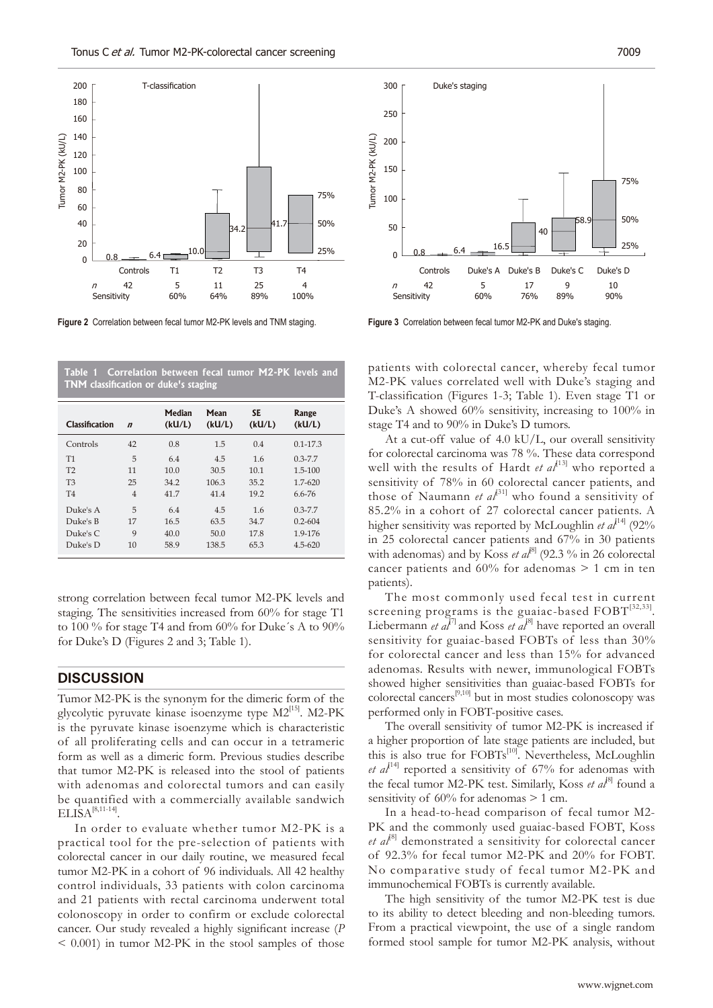

**Figure 2** Correlation between fecal tumor M2-PK levels and TNM staging.

| TNM classification or duke's staging |                  |                  |                |                     |                 |
|--------------------------------------|------------------|------------------|----------------|---------------------|-----------------|
| Classification                       | $\boldsymbol{n}$ | Median<br>(kU/L) | Mean<br>(kU/L) | <b>SE</b><br>(kU/L) | Range<br>(kU/L) |
| Controls                             | 42               | 0.8              | 1.5            | 0.4                 | $0.1 - 17.3$    |
| T1                                   | 5                | 6.4              | 4.5            | 1.6                 | $0.3 - 7.7$     |
| T <sub>2</sub>                       | 11               | 10.0             | 30.5           | 10.1                | 1.5-100         |
| T <sub>3</sub>                       | 25               | 34.2             | 106.3          | 35.2                | $1.7 - 620$     |
| T <sub>4</sub>                       | $\overline{4}$   | 41.7             | 41.4           | 19.2                | $6.6 - 76$      |
| Duke's A                             | 5                | 6.4              | 4.5            | 1.6                 | $0.3 - 7.7$     |
| Duke's B                             | 17               | 16.5             | 63.5           | 34.7                | $0.2 - 604$     |
| Duke's C                             | 9                | 40.0             | 50.0           | 17.8                | 1.9-176         |
| Duke's D                             | 10               | 58.9             | 138.5          | 65.3                | $4.5 - 620$     |

**Correlation between fecal tumor M2-PK levels and** 

strong correlation between fecal tumor M2-PK levels and staging. The sensitivities increased from 60% for stage T1 to 100 % for stage T4 and from 60% for Duke´s A to 90% for Duke's D (Figures 2 and 3; Table 1).

#### **DISCUSSION**

Tumor M2-PK is the synonym for the dimeric form of the glycolytic pyruvate kinase isoenzyme type  $M2^{[15]}$ . M2-PK is the pyruvate kinase isoenzyme which is characteristic of all proliferating cells and can occur in a tetrameric form as well as a dimeric form. Previous studies describe that tumor M2-PK is released into the stool of patients with adenomas and colorectal tumors and can easily be quantified with a commercially available sandwich  $ELISA^{[8,11-14]}$ 

In order to evaluate whether tumor M2-PK is a practical tool for the pre-selection of patients with colorectal cancer in our daily routine, we measured fecal tumor M2-PK in a cohort of 96 individuals. All 42 healthy control individuals, 33 patients with colon carcinoma and 21 patients with rectal carcinoma underwent total colonoscopy in order to confirm or exclude colorectal cancer. Our study revealed a highly significant increase (*P*  $\leq$  0.001) in tumor M2-PK in the stool samples of those



**Figure 3** Correlation between fecal tumor M2-PK and Duke's staging.

patients with colorectal cancer, whereby fecal tumor M2-PK values correlated well with Duke's staging and T-classification (Figures 1-3; Table 1). Even stage T1 or Duke's A showed 60% sensitivity, increasing to 100% in stage T4 and to 90% in Duke's D tumors.

At a cut-off value of 4.0 kU/L, our overall sensitivity for colorectal carcinoma was 78 %. These data correspond well with the results of Hardt *et al*<sup>[13]</sup> who reported a sensitivity of 78% in 60 colorectal cancer patients, and those of Naumann *et al*<sup>[31]</sup> who found a sensitivity of 85.2% in a cohort of 27 colorectal cancer patients. A higher sensitivity was reported by McLoughlin *et al*<sup>[14]</sup> (92%) in 25 colorectal cancer patients and 67% in 30 patients with adenomas) and by Koss *et al*<sup>81</sup> (92.3 % in 26 colorectal cancer patients and  $60\%$  for adenomas  $> 1$  cm in ten patients).

The most commonly used fecal test in current screening programs is the guaiac-based  $FOBT<sup>[32,33]</sup>$ . Liebermann *et al*<sup>[7]</sup> and Koss *et al*<sup>[8]</sup> have reported an overall sensitivity for guaiac-based FOBTs of less than 30% for colorectal cancer and less than 15% for advanced adenomas. Results with newer, immunological FOBTs showed higher sensitivities than guaiac-based FOBTs for colorectal cancers[9,10] but in most studies colonoscopy was performed only in FOBT-positive cases.

The overall sensitivity of tumor M2-PK is increased if a higher proportion of late stage patients are included, but this is also true for FOBTs<sup>[10]</sup>. Nevertheless, McLoughlin *et*  $a^{[14]}$  *reported a sensitivity of 67% for adenomas with* the fecal tumor M2-PK test. Similarly, Koss *et al*<sup>81</sup> found a sensitivity of  $60\%$  for adenomas  $> 1$  cm.

In a head-to-head comparison of fecal tumor M2- PK and the commonly used guaiac-based FOBT, Koss et al<sup>[8]</sup> demonstrated a sensitivity for colorectal cancer of 92.3% for fecal tumor M2-PK and 20% for FOBT. No comparative study of fecal tumor M2-PK and immunochemical FOBTs is currently available.

The high sensitivity of the tumor M2-PK test is due to its ability to detect bleeding and non-bleeding tumors. From a practical viewpoint, the use of a single random formed stool sample for tumor M2-PK analysis, without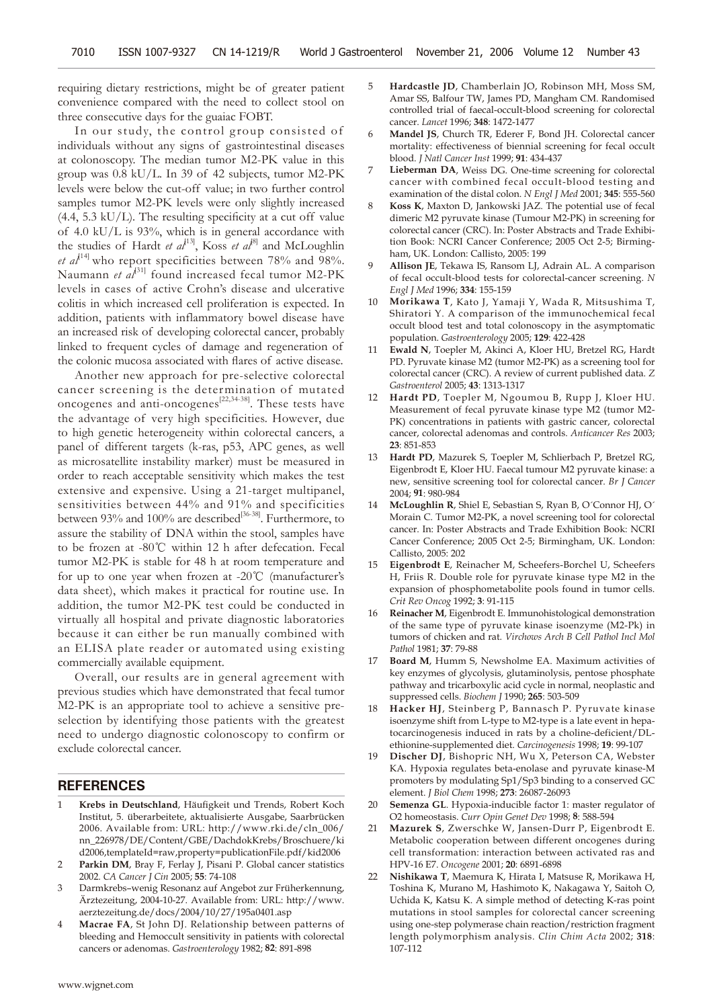requiring dietary restrictions, might be of greater patient convenience compared with the need to collect stool on three consecutive days for the guaiac FOBT.

In our study, the control group consisted of individuals without any signs of gastrointestinal diseases at colonoscopy. The median tumor M2-PK value in this group was 0.8 kU/L. In 39 of 42 subjects, tumor M2-PK levels were below the cut-off value; in two further control samples tumor M2-PK levels were only slightly increased  $(4.4, 5.3 \text{ kU/L})$ . The resulting specificity at a cut off value of 4.0 kU/L is 93%, which is in general accordance with the studies of Hardt *et al*<sup>[13]</sup>, Koss *et al*<sup>8]</sup> and McLoughlin *et al*<sup>[14]</sup> who report specificities between 78% and 98%. Naumann *et al*<sup>[31]</sup> found increased fecal tumor M2-PK levels in cases of active Crohn's disease and ulcerative colitis in which increased cell proliferation is expected. In addition, patients with inflammatory bowel disease have an increased risk of developing colorectal cancer, probably linked to frequent cycles of damage and regeneration of the colonic mucosa associated with flares of active disease.

Another new approach for pre-selective colorectal cancer screening is the determination of mutated oncogenes and anti-oncogenes<sup>[22,34-38]</sup>. These tests have the advantage of very high specificities. However, due to high genetic heterogeneity within colorectal cancers, a panel of different targets (k-ras, p53, APC genes, as well as microsatellite instability marker) must be measured in order to reach acceptable sensitivity which makes the test extensive and expensive. Using a 21-target multipanel, sensitivities between 44% and 91% and specificities between 93% and 100% are described<sup>[36-38]</sup>. Furthermore, to assure the stability of DNA within the stool, samples have to be frozen at -80℃ within 12 h after defecation. Fecal tumor M2-PK is stable for 48 h at room temperature and for up to one year when frozen at -20℃ (manufacturer's data sheet), which makes it practical for routine use. In addition, the tumor M2-PK test could be conducted in virtually all hospital and private diagnostic laboratories because it can either be run manually combined with an ELISA plate reader or automated using existing commercially available equipment.

Overall, our results are in general agreement with previous studies which have demonstrated that fecal tumor M2-PK is an appropriate tool to achieve a sensitive preselection by identifying those patients with the greatest need to undergo diagnostic colonoscopy to confirm or exclude colorectal cancer.

#### **REFERENCES**

- Krebs in Deutschland, Häufigkeit und Trends, Robert Koch Institut, 5. überarbeitete, aktualisierte Ausgabe, Saarbrücken 2006. Available from: URL: http://www.rki.de/cln\_006/ nn\_226978/DE/Content/GBE/DachdokKrebs/Broschuere/ki d2006,templateId=raw,property=publicationFile.pdf/kid2006
- 2 **Parkin DM**, Bray F, Ferlay J, Pisani P. Global cancer statistics 2002. *CA Cancer J Cin* 2005; **55**: 74-108
- 3 Darmkrebs–wenig Resonanz auf Angebot zur Früherkennung, Ärztezeitung, 2004-10-27. Available from: URL: http://www. aerztezeitung.de/docs/2004/10/27/195a0401.asp
- Macrae FA, St John DJ. Relationship between patterns of bleeding and Hemoccult sensitivity in patients with colorectal cancers or adenomas. *Gastroenterology* 1982; **82**: 891-898
- 5 **Hardcastle JD**, Chamberlain JO, Robinson MH, Moss SM, Amar SS, Balfour TW, James PD, Mangham CM. Randomised controlled trial of faecal-occult-blood screening for colorectal cancer. *Lancet* 1996; **348**: 1472-1477
- 6 **Mandel JS**, Church TR, Ederer F, Bond JH. Colorectal cancer mortality: effectiveness of biennial screening for fecal occult blood. *J Natl Cancer Inst* 1999; **91**: 434-437
- 7 **Lieberman DA**, Weiss DG. One-time screening for colorectal cancer with combined fecal occult-blood testing and examination of the distal colon. *N Engl J Med* 2001; **345**: 555-560
- 8 **Koss K**, Maxton D, Jankowski JAZ. The potential use of fecal dimeric M2 pyruvate kinase (Tumour M2-PK) in screening for colorectal cancer (CRC). In: Poster Abstracts and Trade Exhibition Book: NCRI Cancer Conference; 2005 Oct 2-5; Birmingham, UK. London: Callisto, 2005: 199
- 9 **Allison JE**, Tekawa IS, Ransom LJ, Adrain AL. A comparison of fecal occult-blood tests for colorectal-cancer screening. *N Engl J Med* 1996; **334**: 155-159
- 10 **Morikawa T**, Kato J, Yamaji Y, Wada R, Mitsushima T, Shiratori Y. A comparison of the immunochemical fecal occult blood test and total colonoscopy in the asymptomatic population. *Gastroenterology* 2005; **129**: 422-428
- 11 **Ewald N**, Toepler M, Akinci A, Kloer HU, Bretzel RG, Hardt PD. Pyruvate kinase M2 (tumor M2-PK) as a screening tool for colorectal cancer (CRC). A review of current published data. *Z Gastroenterol* 2005; **43**: 1313-1317
- Hardt PD, Toepler M, Ngoumou B, Rupp J, Kloer HU. Measurement of fecal pyruvate kinase type M2 (tumor M2- PK) concentrations in patients with gastric cancer, colorectal cancer, colorectal adenomas and controls. *Anticancer Res* 2003; **23**: 851-853
- 13 **Hardt PD**, Mazurek S, Toepler M, Schlierbach P, Bretzel RG, Eigenbrodt E, Kloer HU. Faecal tumour M2 pyruvate kinase: a new, sensitive screening tool for colorectal cancer. *Br J Cancer* 2004; **91**: 980-984
- 14 **McLoughlin R**, Shiel E, Sebastian S, Ryan B, O´Connor HJ, O´ Morain C. Tumor M2-PK, a novel screening tool for colorectal cancer. In: Poster Abstracts and Trade Exhibition Book: NCRI Cancer Conference; 2005 Oct 2-5; Birmingham, UK. London: Callisto, 2005: 202
- 15 **Eigenbrodt E**, Reinacher M, Scheefers-Borchel U, Scheefers H, Friis R. Double role for pyruvate kinase type M2 in the expansion of phosphometabolite pools found in tumor cells. *Crit Rev Oncog* 1992; **3**: 91-115
- 16 **Reinacher M**, Eigenbrodt E. Immunohistological demonstration of the same type of pyruvate kinase isoenzyme (M2-Pk) in tumors of chicken and rat. *Virchows Arch B Cell Pathol Incl Mol Pathol* 1981; **37**: 79-88
- 17 **Board M**, Humm S, Newsholme EA. Maximum activities of key enzymes of glycolysis, glutaminolysis, pentose phosphate pathway and tricarboxylic acid cycle in normal, neoplastic and suppressed cells. *Biochem J* 1990; **265**: 503-509
- Hacker HJ, Steinberg P, Bannasch P. Pyruvate kinase isoenzyme shift from L-type to M2-type is a late event in hepatocarcinogenesis induced in rats by a choline-deficient/DLethionine-supplemented diet. *Carcinogenesis* 1998; **19**: 99-107
- 19 **Discher DJ**, Bishopric NH, Wu X, Peterson CA, Webster KA. Hypoxia regulates beta-enolase and pyruvate kinase-M promoters by modulating Sp1/Sp3 binding to a conserved GC element. *J Biol Chem* 1998; **273**: 26087-26093
- 20 **Semenza GL**. Hypoxia-inducible factor 1: master regulator of O2 homeostasis. *Curr Opin Genet Dev* 1998; **8**: 588-594
- 21 **Mazurek S**, Zwerschke W, Jansen-Durr P, Eigenbrodt E. Metabolic cooperation between different oncogenes during cell transformation: interaction between activated ras and HPV-16 E7. *Oncogene* 2001; **20**: 6891-6898
- 22 **Nishikawa T**, Maemura K, Hirata I, Matsuse R, Morikawa H, Toshina K, Murano M, Hashimoto K, Nakagawa Y, Saitoh O, Uchida K, Katsu K. A simple method of detecting K-ras point mutations in stool samples for colorectal cancer screening using one-step polymerase chain reaction/restriction fragment length polymorphism analysis. *Clin Chim Acta* 2002; **318**: 107-112